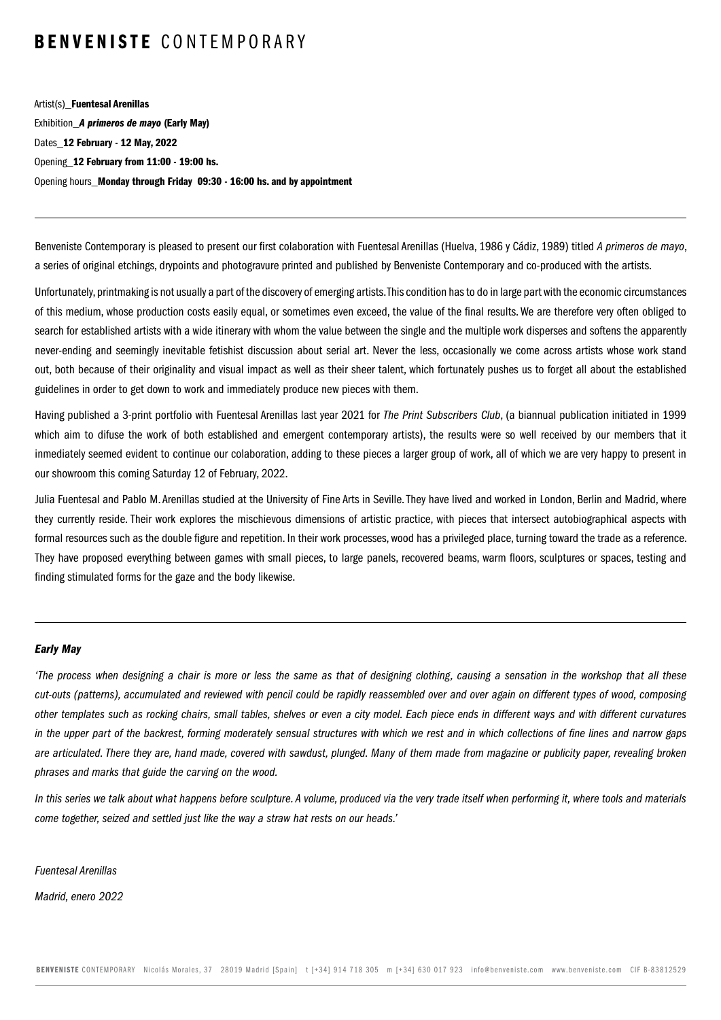Artist(s)\_Fuentesal Arenillas Exhibition\_*A primeros de mayo* (Early May) Dates 12 February - 12 May, 2022 Opening 12 February from 11:00 - 19:00 hs. Opening hours Monday through Friday 09:30 - 16:00 hs. and by appointment

Benveniste Contemporary is pleased to present our first colaboration with Fuentesal Arenillas (Huelva, 1986 y Cádiz, 1989) titled *A primeros de mayo*, a series of original etchings, drypoints and photogravure printed and published by Benveniste Contemporary and co-produced with the artists.

Unfortunately, printmaking is not usually a part of the discovery of emerging artists. This condition has to do in large part with the economic circumstances of this medium, whose production costs easily equal, or sometimes even exceed, the value of the final results. We are therefore very often obliged to search for established artists with a wide itinerary with whom the value between the single and the multiple work disperses and softens the apparently never-ending and seemingly inevitable fetishist discussion about serial art. Never the less, occasionally we come across artists whose work stand out, both because of their originality and visual impact as well as their sheer talent, which fortunately pushes us to forget all about the established guidelines in order to get down to work and immediately produce new pieces with them.

Having published a 3-print portfolio with Fuentesal Arenillas last year 2021 for *The Print Subscribers Club*, (a biannual publication initiated in 1999 which aim to difuse the work of both established and emergent contemporary artists), the results were so well received by our members that it inmediately seemed evident to continue our colaboration, adding to these pieces a larger group of work, all of which we are very happy to present in our showroom this coming Saturday 12 of February, 2022.

Julia Fuentesal and Pablo M. Arenillas studied at the University of Fine Arts in Seville. They have lived and worked in London, Berlin and Madrid, where they currently reside. Their work explores the mischievous dimensions of artistic practice, with pieces that intersect autobiographical aspects with formal resources such as the double figure and repetition. In their work processes, wood has a privileged place, turning toward the trade as a reference. They have proposed everything between games with small pieces, to large panels, recovered beams, warm floors, sculptures or spaces, testing and finding stimulated forms for the gaze and the body likewise.

#### *Early May*

*'The process when designing a chair is more or less the same as that of designing clothing, causing a sensation in the workshop that all these cut-outs (patterns), accumulated and reviewed with pencil could be rapidly reassembled over and over again on different types of wood, composing other templates such as rocking chairs, small tables, shelves or even a city model. Each piece ends in different ways and with different curvatures in the upper part of the backrest, forming moderately sensual structures with which we rest and in which collections of fine lines and narrow gaps are articulated. There they are, hand made, covered with sawdust, plunged. Many of them made from magazine or publicity paper, revealing broken phrases and marks that guide the carving on the wood.*

*In this series we talk about what happens before sculpture. A volume, produced via the very trade itself when performing it, where tools and materials come together, seized and settled just like the way a straw hat rests on our heads.'*

*Fuentesal Arenillas*

*Madrid, enero 2022*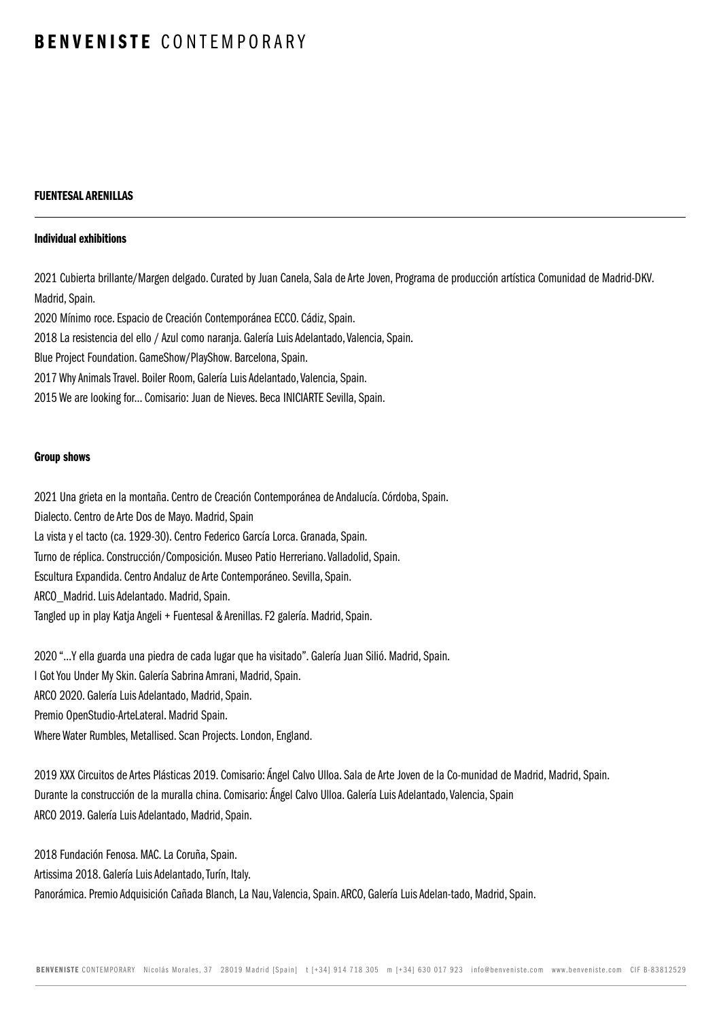## FUENTESAL ARENILLAS

#### Individual exhibitions

2021 Cubierta brillante/Margen delgado. Curated by Juan Canela, Sala de Arte Joven, Programa de producción artística Comunidad de Madrid-DKV. Madrid, Spain.

2020 Mínimo roce. Espacio de Creación Contemporánea ECCO. Cádiz, Spain.

2018 La resistencia del ello / Azul como naranja. Galería Luis Adelantado, Valencia, Spain.

Blue Project Foundation. GameShow/PlayShow. Barcelona, Spain.

2017 Why Animals Travel. Boiler Room, Galería Luis Adelantado, Valencia, Spain.

2015 We are looking for... Comisario: Juan de Nieves. Beca INICIARTE Sevilla, Spain.

#### Group shows

2021 Una grieta en la montaña. Centro de Creación Contemporánea de Andalucía. Córdoba, Spain. Dialecto. Centro de Arte Dos de Mayo. Madrid, Spain La vista y el tacto (ca. 1929-30). Centro Federico García Lorca. Granada, Spain. Turno de réplica. Construcción/Composición. Museo Patio Herreriano. Valladolid, Spain. Escultura Expandida. Centro Andaluz de Arte Contemporáneo. Sevilla, Spain. ARCO\_Madrid. Luis Adelantado. Madrid, Spain. Tangled up in play Katja Angeli + Fuentesal & Arenillas. F2 galería. Madrid, Spain.

2020 "...Y ella guarda una piedra de cada lugar que ha visitado". Galería Juan Silió. Madrid, Spain. I Got You Under My Skin. Galería Sabrina Amrani, Madrid, Spain. ARCO 2020. Galería Luis Adelantado, Madrid, Spain. Premio OpenStudio-ArteLateral. Madrid Spain. Where Water Rumbles, Metallised. Scan Projects. London, England.

2019 XXX Circuitos de Artes Plásticas 2019. Comisario: Ángel Calvo Ulloa. Sala de Arte Joven de la Co-munidad de Madrid, Madrid, Spain. Durante la construcción de la muralla china. Comisario: Ángel Calvo Ulloa. Galería Luis Adelantado, Valencia, Spain ARCO 2019. Galería Luis Adelantado, Madrid, Spain.

2018 Fundación Fenosa. MAC. La Coruña, Spain.

Artissima 2018. Galería Luis Adelantado, Turín, Italy.

Panorámica. Premio Adquisición Cañada Blanch, La Nau, Valencia, Spain. ARCO, Galería Luis Adelan-tado, Madrid, Spain.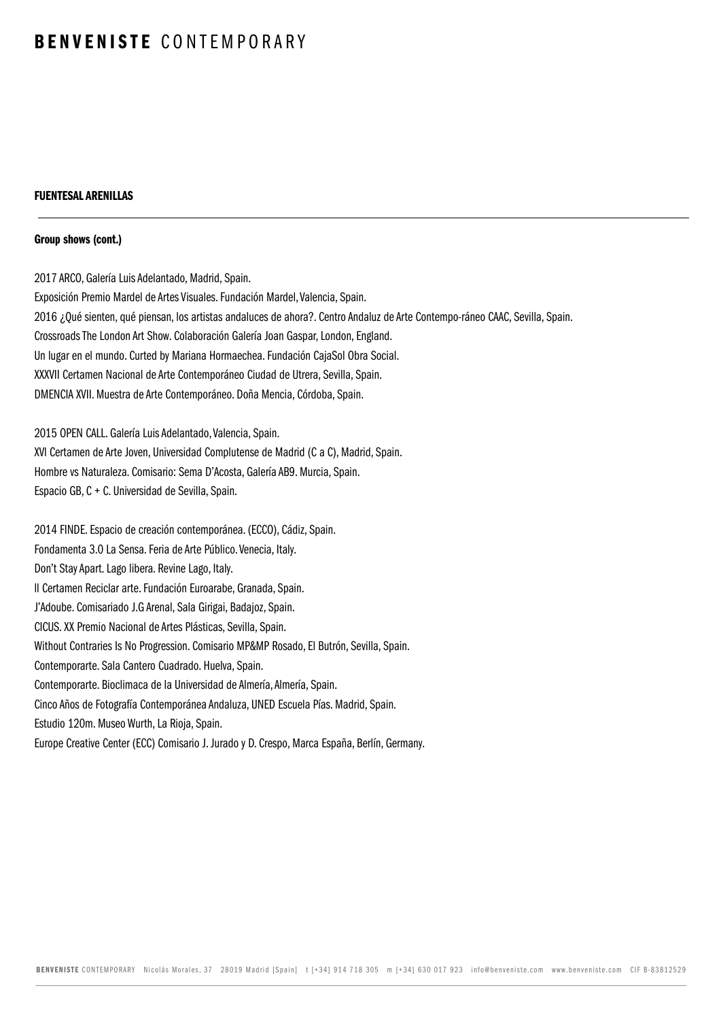## FUENTESAL ARENILLAS

#### Group shows (cont.)

2017 ARCO, Galería Luis Adelantado, Madrid, Spain. Exposición Premio Mardel de Artes Visuales. Fundación Mardel, Valencia, Spain. 2016 ¿Qué sienten, qué piensan, los artistas andaluces de ahora?. Centro Andaluz de Arte Contempo-ráneo CAAC, Sevilla, Spain. Crossroads The London Art Show. Colaboración Galería Joan Gaspar, London, England. Un lugar en el mundo. Curted by Mariana Hormaechea. Fundación CajaSol Obra Social. XXXVII Certamen Nacional de Arte Contemporáneo Ciudad de Utrera, Sevilla, Spain. DMENCIA XVII. Muestra de Arte Contemporáneo. Doña Mencia, Córdoba, Spain.

2015 OPEN CALL. Galería Luis Adelantado, Valencia, Spain.

XVl Certamen de Arte Joven, Universidad Complutense de Madrid (C a C), Madrid, Spain. Hombre vs Naturaleza. Comisario: Sema D'Acosta, Galería AB9. Murcia, Spain.

Espacio GB, C + C. Universidad de Sevilla, Spain.

2014 FINDE. Espacio de creación contemporánea. (ECCO), Cádiz, Spain. Fondamenta 3.0 La Sensa. Feria de Arte Público. Venecia, Italy. Don't Stay Apart. Lago libera. Revine Lago, Italy. ll Certamen Reciclar arte. Fundación Euroarabe, Granada, Spain. J'Adoube. Comisariado J.G Arenal, Sala Girigai, Badajoz, Spain. CICUS. XX Premio Nacional de Artes Plásticas, Sevilla, Spain. Without Contraries Is No Progression. Comisario MP&MP Rosado, El Butrón, Sevilla, Spain. Contemporarte. Sala Cantero Cuadrado. Huelva, Spain. Contemporarte. Bioclimaca de la Universidad de Almería, Almería, Spain. Cinco Años de Fotografía Contemporánea Andaluza, UNED Escuela Pías. Madrid, Spain. Estudio 120m. Museo Wurth, La Rioja, Spain. Europe Creative Center (ECC) Comisario J. Jurado y D. Crespo, Marca España, Berlín, Germany.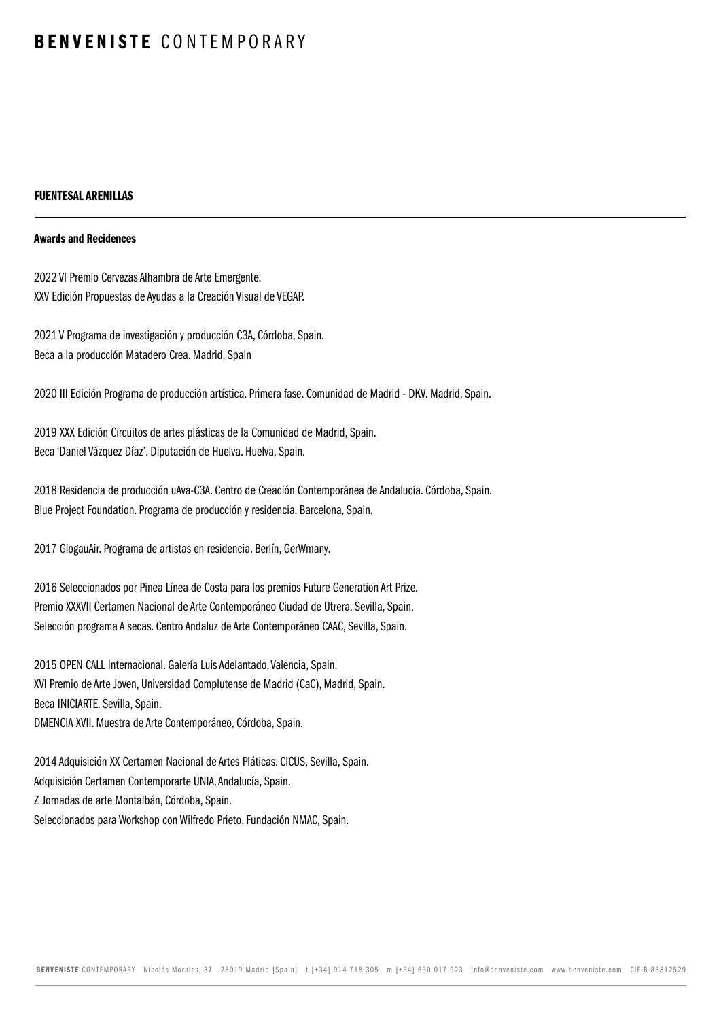## FUENTESAL ARENILLAS

#### Awards and Recidences

2022 VI Premio Cervezas Alhambra de Arte Emergente. XXV Edición Propuestas de Ayudas a la Creación Visual de VEGAP.

2021 V Programa de investigación y producción C3A, Córdoba, Spain. Beca a la producción Matadero Crea. Madrid, Spain

2020 III Edición Programa de producción artística. Primera fase. Comunidad de Madrid - DKV. Madrid, Spain.

2019 XXX Edición Circuitos de artes plásticas de la Comunidad de Madrid, Spain. Beca 'Daniel Vázquez Díaz'. Diputación de Huelva. Huelva, Spain.

2018 Residencia de producción uAva-C3A. Centro de Creación Contemporánea de Andalucía. Córdoba, Spain. Blue Project Foundation. Programa de producción y residencia. Barcelona, Spain.

2017 GlogauAir. Programa de artistas en residencia. Berlín, GerWmany.

2016 Seleccionados por Pinea Línea de Costa para los premios Future Generation Art Prize. Premio XXXVII Certamen Nacional de Arte Contemporáneo Ciudad de Utrera. Sevilla, Spain. Selección programa A secas. Centro Andaluz de Arte Contemporáneo CAAC, Sevilla, Spain.

2015 OPEN CALL Internacional. Galería Luis Adelantado, Valencia, Spain. XVl Premio de Arte Joven, Universidad Complutense de Madrid (CaC), Madrid, Spain. Beca INICIARTE. Sevilla, Spain. DMENCIA XVII. Muestra de Arte Contemporáneo, Córdoba, Spain.

2014 Adquisición XX Certamen Nacional de Artes Pláticas. CICUS, Sevilla, Spain. Adquisición Certamen Contemporarte UNIA, Andalucía, Spain. Z Jornadas de arte Montalbán, Córdoba, Spain. Seleccionados para Workshop con Wilfredo Prieto. Fundación NMAC, Spain.